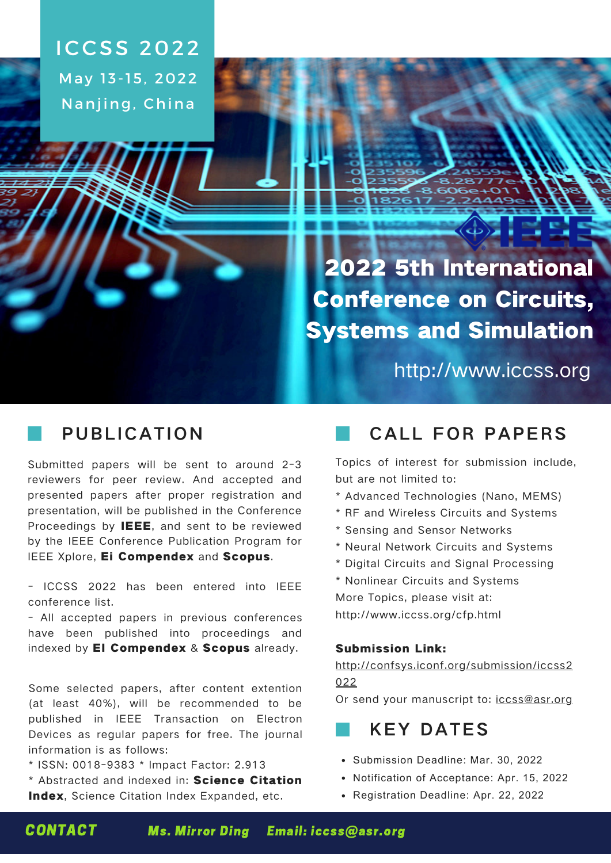**ICCSS 2022** May 13-15, 2022 Nanjing, China

> 2022 5th International Conference on Circuits, Systems and Simulation

> > http://www.iccss.org

### PUBLICATION

Submitted papers will be sent to around 2-3 reviewers for peer review. And accepted and presented papers after proper registration and presentation, will be published in the Conference Proceedings by **IEEE**, and sent to be reviewed by the IEEE Conference Publication Program for IEEE Xplore, Ei Compendex and Scopus.

[- ICCSS 2022 has been entered into IEEE](https://conferences.ieee.org/conferences_events/conferences/conferencedetails/55260) conference list.

- All accepted papers in previous conferences have been published into proceedings and indexed by **EI Compendex & Scopus** already.

Some selected papers, after content extention (at least 40%), will be recommended to be published in IEEE Transaction on Electron Devices as regular papers for free. The journal information is as follows:

\* ISSN: 0018-9383 \* Impact Factor: 2.913

\* Abstracted and indexed in: Science Citation Index, Science Citation Index Expanded, etc.

## CALL FOR PAPERS

Topics of interest for submission include, but are not limited to:

- \* Advanced Technologies (Nano, MEMS)
- \* RF and Wireless Circuits and Systems
- \* Sensing and Sensor Networks
- \* Neural Network Circuits and Systems
- \* Digital Circuits and Signal Processing
- \* Nonlinear Circuits and Systems More Topics, please visit at: http://www.iccss.org/cfp.html

#### Submission Link:

#### [http://confsys.iconf.org/submission/iccss2](http://confsys.iconf.org/submission/iccss2022) 022

Or send your manuscript to: [iccss@asr.org](mailto:iccss@asr.org)

## **KEY DATES**

- Submission Deadline: Mar. 30, 2022
- Notification of Acceptance: Apr. 15, 2022
- Registration Deadline: Apr. 22, 2022